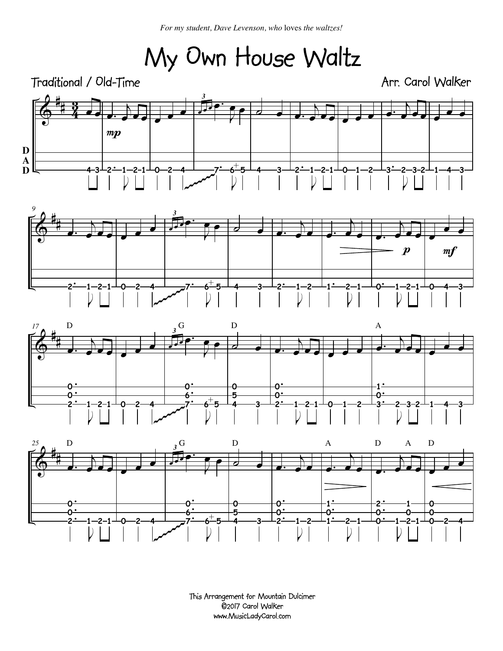*For my student, Dave Levenson, who* loves *the waltzes!*

My Own House Waltz



This Arrangement for Mountain Dulcimer ©2017 Carol Walker www.MusicLadyCarol.com